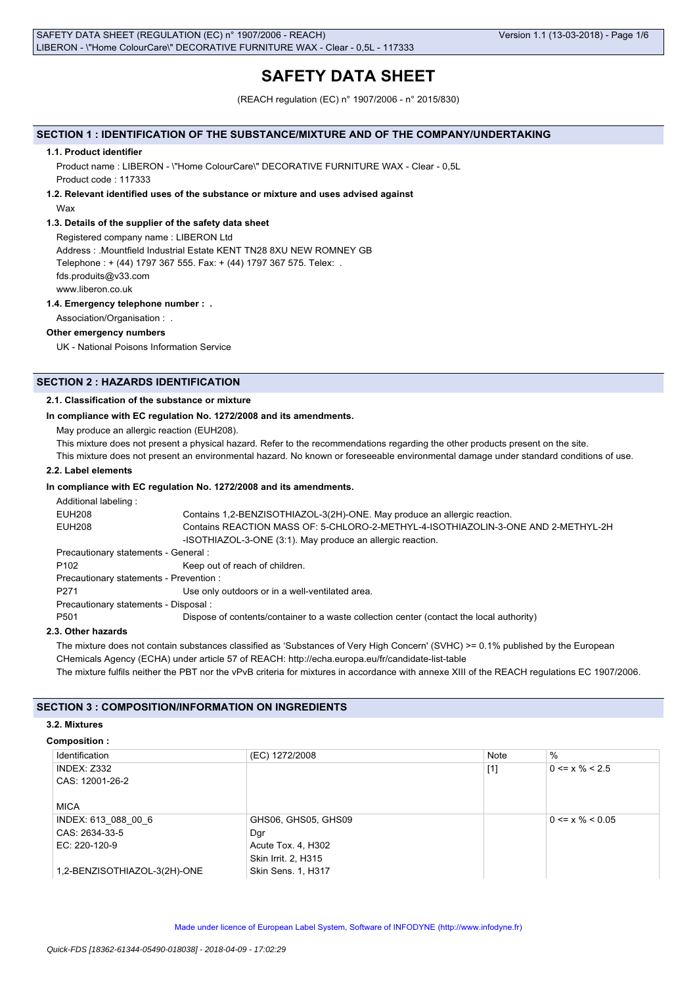# **SAFETY DATA SHEET**

(REACH regulation (EC) n° 1907/2006 - n° 2015/830)

## **SECTION 1 : IDENTIFICATION OF THE SUBSTANCE/MIXTURE AND OF THE COMPANY/UNDERTAKING**

### **1.1. Product identifier**

Product name : LIBERON - \"Home ColourCare\" DECORATIVE FURNITURE WAX - Clear - 0,5L Product code : 117333

## **1.2. Relevant identified uses of the substance or mixture and uses advised against** Wax

## **1.3. Details of the supplier of the safety data sheet**

Registered company name : LIBERON Ltd Address : .Mountfield Industrial Estate KENT TN28 8XU NEW ROMNEY GB Telephone : + (44) 1797 367 555. Fax: + (44) 1797 367 575. Telex: . fds.produits@v33.com www.liberon.co.uk

## **1.4. Emergency telephone number : .**

Association/Organisation : .

## **Other emergency numbers**

UK - National Poisons Information Service

## **SECTION 2 : HAZARDS IDENTIFICATION**

## **2.1. Classification of the substance or mixture**

## **In compliance with EC regulation No. 1272/2008 and its amendments.**

May produce an allergic reaction (EUH208).

This mixture does not present a physical hazard. Refer to the recommendations regarding the other products present on the site.

This mixture does not present an environmental hazard. No known or foreseeable environmental damage under standard conditions of use.

## **2.2. Label elements**

### **In compliance with EC regulation No. 1272/2008 and its amendments.**

| Additional labeling:                    |                                                                                          |
|-----------------------------------------|------------------------------------------------------------------------------------------|
| <b>EUH208</b>                           | Contains 1,2-BENZISOTHIAZOL-3(2H)-ONE. May produce an allergic reaction.                 |
| EUH208                                  | Contains REACTION MASS OF: 5-CHLORO-2-METHYL-4-ISOTHIAZOLIN-3-ONE AND 2-METHYL-2H        |
|                                         | -ISOTHIAZOL-3-ONE (3:1). May produce an allergic reaction.                               |
| Precautionary statements - General :    |                                                                                          |
| P <sub>102</sub>                        | Keep out of reach of children.                                                           |
| Precautionary statements - Prevention : |                                                                                          |
| P <sub>271</sub>                        | Use only outdoors or in a well-ventilated area.                                          |
| Precautionary statements - Disposal :   |                                                                                          |
| P <sub>501</sub>                        | Dispose of contents/container to a waste collection center (contact the local authority) |
|                                         |                                                                                          |

### **2.3. Other hazards**

The mixture does not contain substances classified as 'Substances of Very High Concern' (SVHC) >= 0.1% published by the European CHemicals Agency (ECHA) under article 57 of REACH: http://echa.europa.eu/fr/candidate-list-table The mixture fulfils neither the PBT nor the vPvB criteria for mixtures in accordance with annexe XIII of the REACH regulations EC 1907/2006.

## **SECTION 3 : COMPOSITION/INFORMATION ON INGREDIENTS**

#### **3.2. Mixtures**

#### **Composition :**

| Identification               | (EC) 1272/2008      | <b>Note</b> | $\%$                  |
|------------------------------|---------------------|-------------|-----------------------|
| <b>INDEX: Z332</b>           |                     | $[1]$       | $0 \le x \% \le 2.5$  |
| CAS: 12001-26-2              |                     |             |                       |
|                              |                     |             |                       |
| <b>MICA</b>                  |                     |             |                       |
| INDEX: 613 088 00 6          | GHS06, GHS05, GHS09 |             | $0 \le x \% \le 0.05$ |
| CAS: 2634-33-5               | Dgr                 |             |                       |
| EC: 220-120-9                | Acute Tox. 4, H302  |             |                       |
|                              | Skin Irrit. 2, H315 |             |                       |
| 1,2-BENZISOTHIAZOL-3(2H)-ONE | Skin Sens. 1, H317  |             |                       |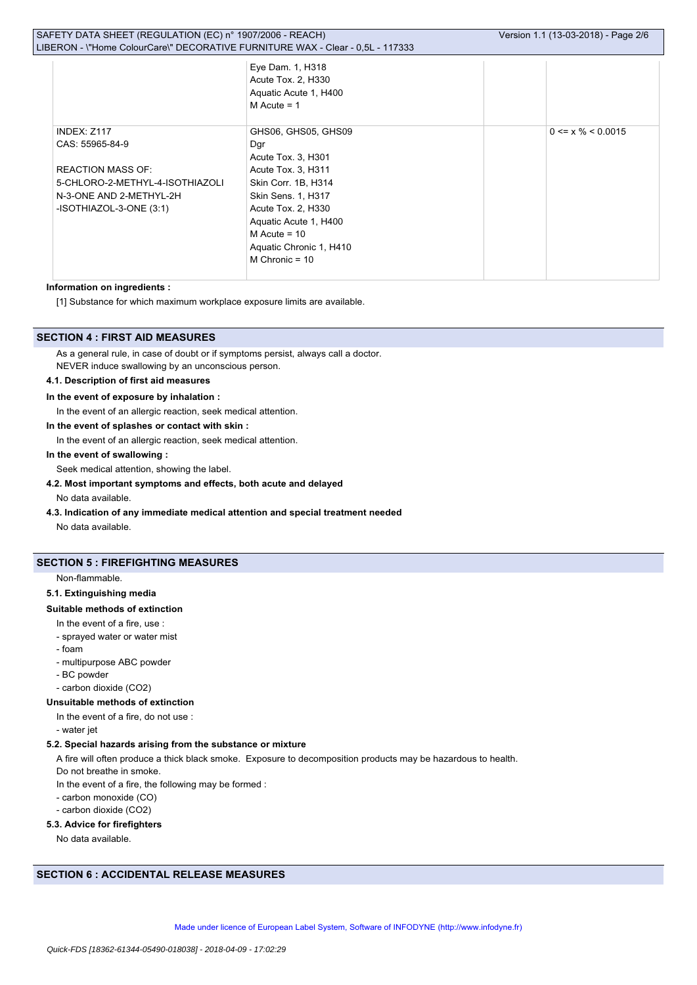| SAFETY DATA SHEET (REGULATION (EC) n° 1907/2006 - REACH)<br>LIBERON - \"Home ColourCare\" DECORATIVE FURNITURE WAX - Clear - 0,5L - 117333 |                                                                                                                                                            | Version 1.1 (13-03-2018) - Page 2/6                                                                                                                                                                                                 |                         |
|--------------------------------------------------------------------------------------------------------------------------------------------|------------------------------------------------------------------------------------------------------------------------------------------------------------|-------------------------------------------------------------------------------------------------------------------------------------------------------------------------------------------------------------------------------------|-------------------------|
|                                                                                                                                            |                                                                                                                                                            | Eye Dam. 1, H318<br>Acute Tox. 2, H330<br>Aquatic Acute 1, H400<br>$M$ Acute = 1                                                                                                                                                    |                         |
|                                                                                                                                            | <b>INDEX: Z117</b><br>CAS: 55965-84-9<br><b>REACTION MASS OF:</b><br>5-CHLORO-2-METHYL-4-ISOTHIAZOLI<br>N-3-ONE AND 2-METHYL-2H<br>-ISOTHIAZOL-3-ONE (3:1) | GHS06, GHS05, GHS09<br>Dgr<br>Acute Tox. 3, H301<br>Acute Tox. 3, H311<br>Skin Corr. 1B, H314<br>Skin Sens. 1, H317<br>Acute Tox. 2, H330<br>Aquatic Acute 1, H400<br>$M$ Acute = 10<br>Aquatic Chronic 1, H410<br>M Chronic = $10$ | $0 \le x \% \le 0.0015$ |
|                                                                                                                                            |                                                                                                                                                            |                                                                                                                                                                                                                                     |                         |

## **Information on ingredients :**

[1] Substance for which maximum workplace exposure limits are available.

## **SECTION 4 : FIRST AID MEASURES**

As a general rule, in case of doubt or if symptoms persist, always call a doctor. NEVER induce swallowing by an unconscious person.

### **4.1. Description of first aid measures**

### **In the event of exposure by inhalation :**

In the event of an allergic reaction, seek medical attention.

### **In the event of splashes or contact with skin :**

In the event of an allergic reaction, seek medical attention.

## **In the event of swallowing :**

Seek medical attention, showing the label.

## **4.2. Most important symptoms and effects, both acute and delayed**

No data available.

**4.3. Indication of any immediate medical attention and special treatment needed**

No data available.

## **SECTION 5 : FIREFIGHTING MEASURES**

#### Non-flammable.

#### **5.1. Extinguishing media**

### **Suitable methods of extinction**

- In the event of a fire, use :
- sprayed water or water mist
- foam
- multipurpose ABC powder
- BC powder
- carbon dioxide (CO2)

## **Unsuitable methods of extinction**

- In the event of a fire, do not use :
- water jet

### **5.2. Special hazards arising from the substance or mixture**

A fire will often produce a thick black smoke. Exposure to decomposition products may be hazardous to health.

Do not breathe in smoke.

In the event of a fire, the following may be formed :

- carbon monoxide (CO)
- carbon dioxide (CO2)

## **5.3. Advice for firefighters**

No data available.

## **SECTION 6 : ACCIDENTAL RELEASE MEASURES**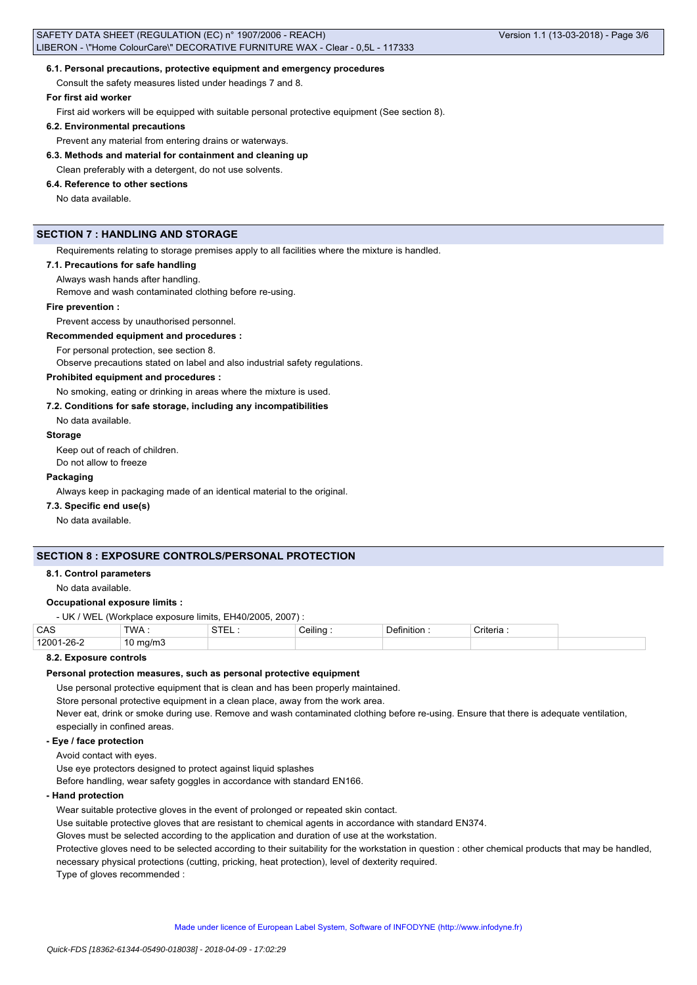#### **6.1. Personal precautions, protective equipment and emergency procedures**

Consult the safety measures listed under headings 7 and 8.

### **For first aid worker**

First aid workers will be equipped with suitable personal protective equipment (See section 8).

#### **6.2. Environmental precautions**

Prevent any material from entering drains or waterways.

## **6.3. Methods and material for containment and cleaning up**

Clean preferably with a detergent, do not use solvents.

## **6.4. Reference to other sections**

No data available.

## **SECTION 7 : HANDLING AND STORAGE**

Requirements relating to storage premises apply to all facilities where the mixture is handled.

## **7.1. Precautions for safe handling**

Always wash hands after handling.

Remove and wash contaminated clothing before re-using.

#### **Fire prevention :**

Prevent access by unauthorised personnel.

#### **Recommended equipment and procedures :**

For personal protection, see section 8.

Observe precautions stated on label and also industrial safety regulations.

## **Prohibited equipment and procedures :**

No smoking, eating or drinking in areas where the mixture is used.

## **7.2. Conditions for safe storage, including any incompatibilities**

No data available.

#### **Storage**

Keep out of reach of children. Do not allow to freeze

#### **Packaging**

Always keep in packaging made of an identical material to the original.

## **7.3. Specific end use(s)**

No data available.

## **SECTION 8 : EXPOSURE CONTROLS/PERSONAL PROTECTION**

#### **8.1. Control parameters**

No data available.

#### **Occupational exposure limits :**

- UK / WEL (Workplace exposure limits, EH40/2005, 2007) :

| റമ | CAS   | <b>TWA</b>    | $^{\circ}$ | ڪeilin∈ | $\sim$<br>∶riteria |
|----|-------|---------------|------------|---------|--------------------|
|    | 12001 | ma/m3 ו<br>ΙV |            |         |                    |

## **8.2. Exposure controls**

## **Personal protection measures, such as personal protective equipment**

Use personal protective equipment that is clean and has been properly maintained.

Store personal protective equipment in a clean place, away from the work area.

Never eat, drink or smoke during use. Remove and wash contaminated clothing before re-using. Ensure that there is adequate ventilation, especially in confined areas.

### **- Eye / face protection**

Avoid contact with eyes.

Use eye protectors designed to protect against liquid splashes

Before handling, wear safety goggles in accordance with standard EN166.

#### **- Hand protection**

Wear suitable protective gloves in the event of prolonged or repeated skin contact.

Use suitable protective gloves that are resistant to chemical agents in accordance with standard EN374.

Gloves must be selected according to the application and duration of use at the workstation.

Protective gloves need to be selected according to their suitability for the workstation in question : other chemical products that may be handled, necessary physical protections (cutting, pricking, heat protection), level of dexterity required.

Type of gloves recommended :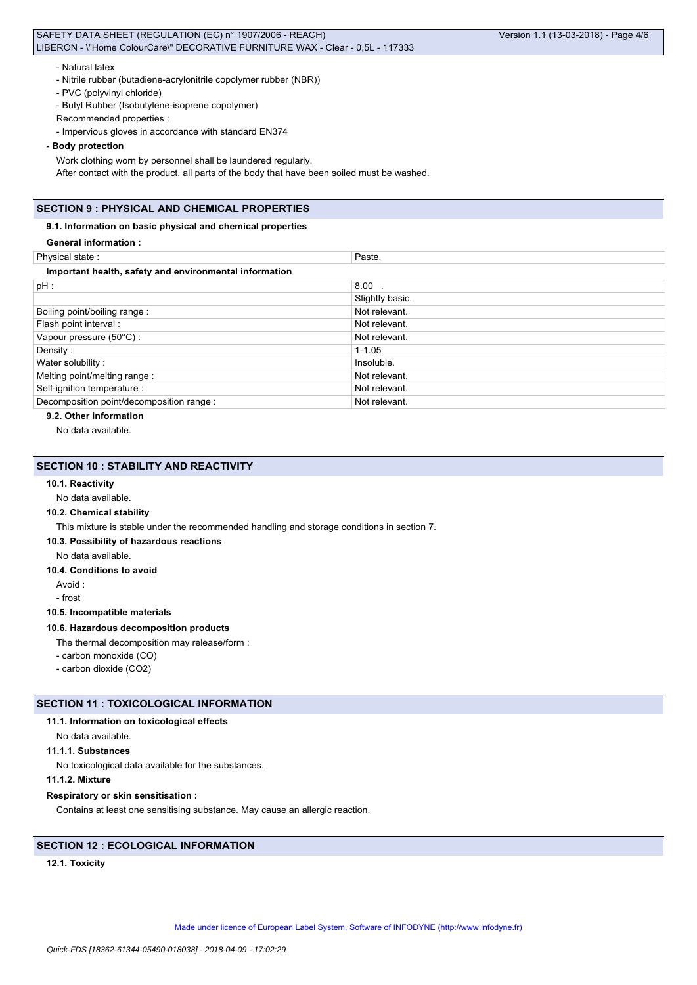### - Natural latex

- Nitrile rubber (butadiene-acrylonitrile copolymer rubber (NBR))
- PVC (polyvinyl chloride)

- Butyl Rubber (Isobutylene-isoprene copolymer)

- Recommended properties :
- Impervious gloves in accordance with standard EN374

### **- Body protection**

Work clothing worn by personnel shall be laundered regularly.

After contact with the product, all parts of the body that have been soiled must be washed.

## **SECTION 9 : PHYSICAL AND CHEMICAL PROPERTIES**

## **9.1. Information on basic physical and chemical properties**

| <b>General information:</b>                            |                 |
|--------------------------------------------------------|-----------------|
| Physical state:                                        | Paste.          |
| Important health, safety and environmental information |                 |
| pH:                                                    | $8.00$ .        |
|                                                        | Slightly basic. |
| Boiling point/boiling range:                           | Not relevant.   |
| Flash point interval :                                 | Not relevant.   |
| Vapour pressure (50°C):                                | Not relevant.   |
| Density:                                               | $1 - 1.05$      |
| Water solubility:                                      | Insoluble.      |
| Melting point/melting range:                           | Not relevant.   |
| Self-ignition temperature :                            | Not relevant.   |
| Decomposition point/decomposition range :              | Not relevant.   |

## **9.2. Other information**

No data available.

## **SECTION 10 : STABILITY AND REACTIVITY**

## **10.1. Reactivity**

No data available.

## **10.2. Chemical stability**

This mixture is stable under the recommended handling and storage conditions in section 7.

## **10.3. Possibility of hazardous reactions**

No data available.

**10.4. Conditions to avoid**

Avoid :

## - frost

#### **10.5. Incompatible materials**

## **10.6. Hazardous decomposition products**

The thermal decomposition may release/form :

- carbon monoxide (CO)
- carbon dioxide (CO2)

## **SECTION 11 : TOXICOLOGICAL INFORMATION**

## **11.1. Information on toxicological effects**

## No data available.

## **11.1.1. Substances**

No toxicological data available for the substances.

## **11.1.2. Mixture**

## **Respiratory or skin sensitisation :**

Contains at least one sensitising substance. May cause an allergic reaction.

## **SECTION 12 : ECOLOGICAL INFORMATION**

## **12.1. Toxicity**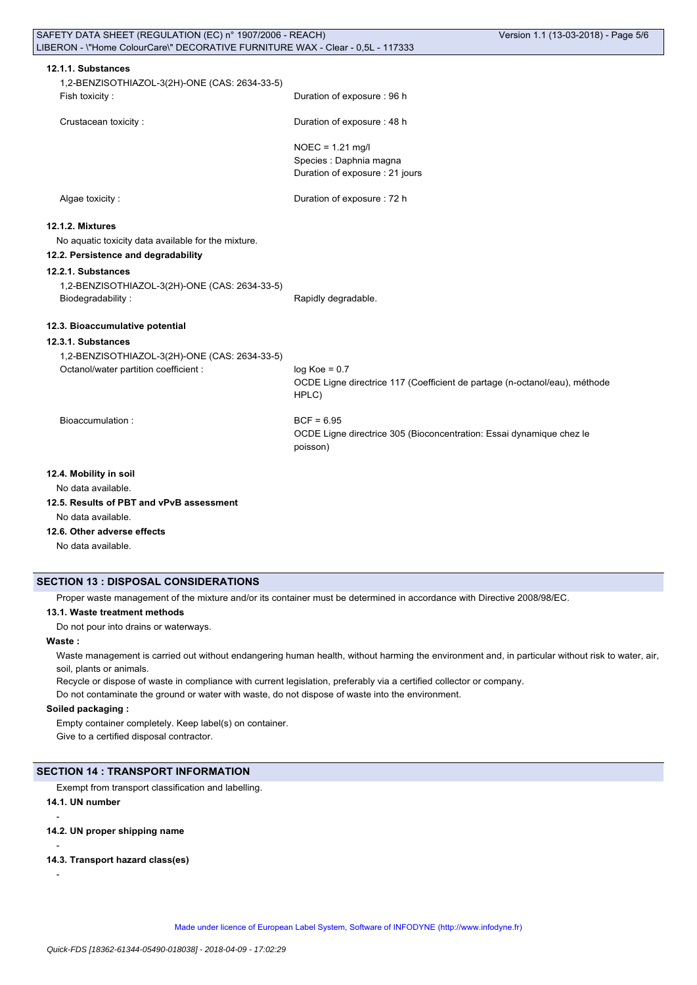| SAFETY DATA SHEET (REGULATION (EC) n° 1907/2006 - REACH)                       |                                                                                     | Version 1.1 (13-03-2018) - Page 5/6 |
|--------------------------------------------------------------------------------|-------------------------------------------------------------------------------------|-------------------------------------|
| LIBERON - \"Home ColourCare\" DECORATIVE FURNITURE WAX - Clear - 0,5L - 117333 |                                                                                     |                                     |
| 12.1.1. Substances                                                             |                                                                                     |                                     |
|                                                                                |                                                                                     |                                     |
| 1,2-BENZISOTHIAZOL-3(2H)-ONE (CAS: 2634-33-5)                                  | Duration of exposure : 96 h                                                         |                                     |
| Fish toxicity:                                                                 |                                                                                     |                                     |
| Crustacean toxicity:                                                           | Duration of exposure: 48 h                                                          |                                     |
|                                                                                | $NOEC = 1.21$ mg/l                                                                  |                                     |
|                                                                                | Species : Daphnia magna                                                             |                                     |
|                                                                                | Duration of exposure : 21 jours                                                     |                                     |
| Algae toxicity:                                                                | Duration of exposure : 72 h                                                         |                                     |
| 12.1.2. Mixtures                                                               |                                                                                     |                                     |
| No aquatic toxicity data available for the mixture.                            |                                                                                     |                                     |
| 12.2. Persistence and degradability                                            |                                                                                     |                                     |
| 12.2.1. Substances                                                             |                                                                                     |                                     |
|                                                                                |                                                                                     |                                     |
| 1,2-BENZISOTHIAZOL-3(2H)-ONE (CAS: 2634-33-5)<br>Biodegradability:             | Rapidly degradable.                                                                 |                                     |
|                                                                                |                                                                                     |                                     |
| 12.3. Bioaccumulative potential                                                |                                                                                     |                                     |
| 12.3.1. Substances                                                             |                                                                                     |                                     |
| 1,2-BENZISOTHIAZOL-3(2H)-ONE (CAS: 2634-33-5)                                  |                                                                                     |                                     |
| Octanol/water partition coefficient :                                          | $log Koe = 0.7$                                                                     |                                     |
|                                                                                | OCDE Ligne directrice 117 (Coefficient de partage (n-octanol/eau), méthode<br>HPLC) |                                     |
| Bioaccumulation:                                                               | $BCF = 6.95$                                                                        |                                     |
|                                                                                | OCDE Ligne directrice 305 (Bioconcentration: Essai dynamique chez le                |                                     |
|                                                                                | poisson)                                                                            |                                     |
| 12.4. Mobility in soil                                                         |                                                                                     |                                     |
| No data available.                                                             |                                                                                     |                                     |
| 12.5. Results of PBT and vPvB assessment                                       |                                                                                     |                                     |
| No data available.                                                             |                                                                                     |                                     |
| 12.6. Other adverse effects                                                    |                                                                                     |                                     |

No data available.

## **SECTION 13 : DISPOSAL CONSIDERATIONS**

Proper waste management of the mixture and/or its container must be determined in accordance with Directive 2008/98/EC.

**13.1. Waste treatment methods**

Do not pour into drains or waterways.

**Waste :**

Waste management is carried out without endangering human health, without harming the environment and, in particular without risk to water, air, soil, plants or animals.

Recycle or dispose of waste in compliance with current legislation, preferably via a certified collector or company. Do not contaminate the ground or water with waste, do not dispose of waste into the environment.

## **Soiled packaging :**

Empty container completely. Keep label(s) on container. Give to a certified disposal contractor.

## **SECTION 14 : TRANSPORT INFORMATION**

Exempt from transport classification and labelling.

## **14.1. UN number**

**14.2. UN proper shipping name**

## -

-

### **14.3. Transport hazard class(es)**

-